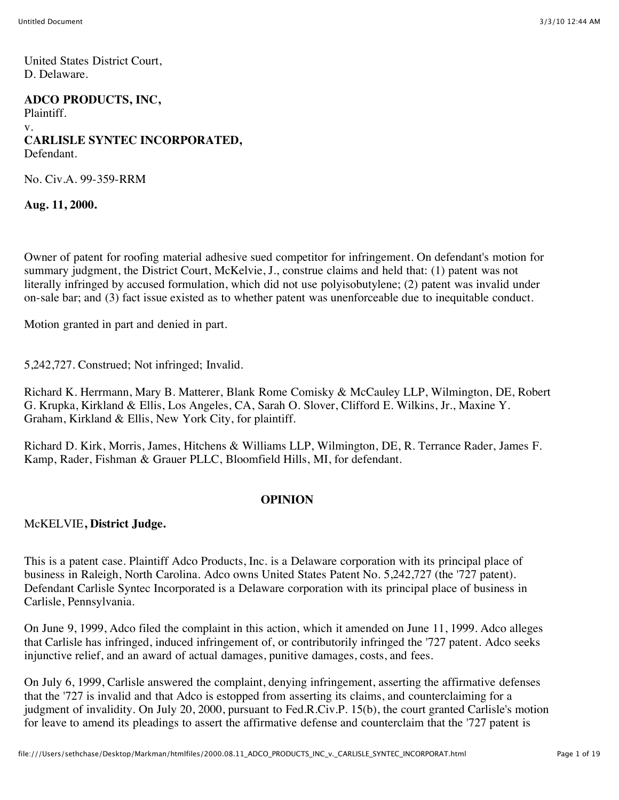United States District Court, D. Delaware.

**ADCO PRODUCTS, INC,** Plaintiff. v. **CARLISLE SYNTEC INCORPORATED,** Defendant.

No. Civ.A. 99-359-RRM

**Aug. 11, 2000.**

Owner of patent for roofing material adhesive sued competitor for infringement. On defendant's motion for summary judgment, the District Court, McKelvie, J., construe claims and held that: (1) patent was not literally infringed by accused formulation, which did not use polyisobutylene; (2) patent was invalid under on-sale bar; and (3) fact issue existed as to whether patent was unenforceable due to inequitable conduct.

Motion granted in part and denied in part.

5,242,727. Construed; Not infringed; Invalid.

Richard K. Herrmann, Mary B. Matterer, Blank Rome Comisky & McCauley LLP, Wilmington, DE, Robert G. Krupka, Kirkland & Ellis, Los Angeles, CA, Sarah O. Slover, Clifford E. Wilkins, Jr., Maxine Y. Graham, Kirkland & Ellis, New York City, for plaintiff.

Richard D. Kirk, Morris, James, Hitchens & Williams LLP, Wilmington, DE, R. Terrance Rader, James F. Kamp, Rader, Fishman & Grauer PLLC, Bloomfield Hills, MI, for defendant.

#### **OPINION**

McKELVIE**, District Judge.**

This is a patent case. Plaintiff Adco Products, Inc. is a Delaware corporation with its principal place of business in Raleigh, North Carolina. Adco owns United States Patent No. 5,242,727 (the '727 patent). Defendant Carlisle Syntec Incorporated is a Delaware corporation with its principal place of business in Carlisle, Pennsylvania.

On June 9, 1999, Adco filed the complaint in this action, which it amended on June 11, 1999. Adco alleges that Carlisle has infringed, induced infringement of, or contributorily infringed the '727 patent. Adco seeks injunctive relief, and an award of actual damages, punitive damages, costs, and fees.

On July 6, 1999, Carlisle answered the complaint, denying infringement, asserting the affirmative defenses that the '727 is invalid and that Adco is estopped from asserting its claims, and counterclaiming for a judgment of invalidity. On July 20, 2000, pursuant to Fed.R.Civ.P. 15(b), the court granted Carlisle's motion for leave to amend its pleadings to assert the affirmative defense and counterclaim that the '727 patent is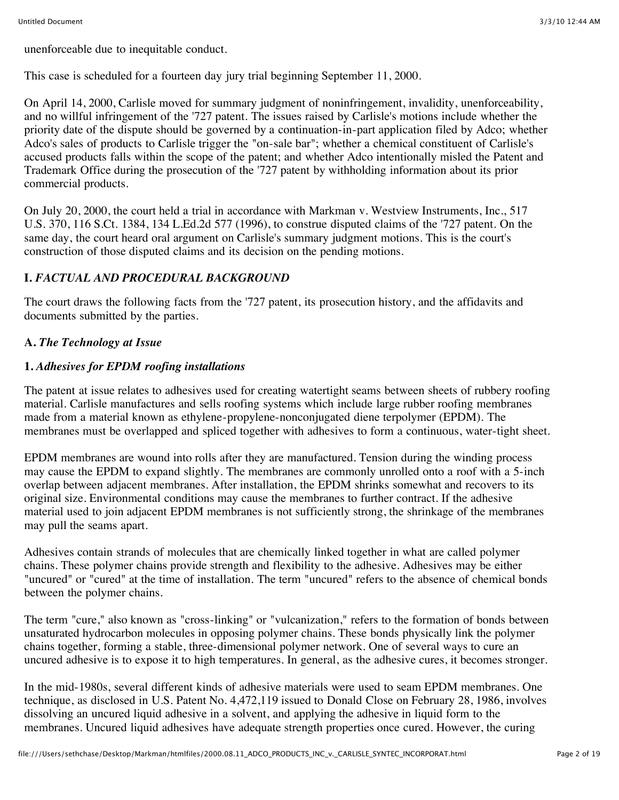unenforceable due to inequitable conduct.

This case is scheduled for a fourteen day jury trial beginning September 11, 2000.

On April 14, 2000, Carlisle moved for summary judgment of noninfringement, invalidity, unenforceability, and no willful infringement of the '727 patent. The issues raised by Carlisle's motions include whether the priority date of the dispute should be governed by a continuation-in-part application filed by Adco; whether Adco's sales of products to Carlisle trigger the "on-sale bar"; whether a chemical constituent of Carlisle's accused products falls within the scope of the patent; and whether Adco intentionally misled the Patent and Trademark Office during the prosecution of the '727 patent by withholding information about its prior commercial products.

On July 20, 2000, the court held a trial in accordance with Markman v. Westview Instruments, Inc., 517 U.S. 370, 116 S.Ct. 1384, 134 L.Ed.2d 577 (1996), to construe disputed claims of the '727 patent. On the same day, the court heard oral argument on Carlisle's summary judgment motions. This is the court's construction of those disputed claims and its decision on the pending motions.

# **I.** *FACTUAL AND PROCEDURAL BACKGROUND*

The court draws the following facts from the '727 patent, its prosecution history, and the affidavits and documents submitted by the parties.

# **A.** *The Technology at Issue*

# **1.** *Adhesives for EPDM roofing installations*

The patent at issue relates to adhesives used for creating watertight seams between sheets of rubbery roofing material. Carlisle manufactures and sells roofing systems which include large rubber roofing membranes made from a material known as ethylene-propylene-nonconjugated diene terpolymer (EPDM). The membranes must be overlapped and spliced together with adhesives to form a continuous, water-tight sheet.

EPDM membranes are wound into rolls after they are manufactured. Tension during the winding process may cause the EPDM to expand slightly. The membranes are commonly unrolled onto a roof with a 5-inch overlap between adjacent membranes. After installation, the EPDM shrinks somewhat and recovers to its original size. Environmental conditions may cause the membranes to further contract. If the adhesive material used to join adjacent EPDM membranes is not sufficiently strong, the shrinkage of the membranes may pull the seams apart.

Adhesives contain strands of molecules that are chemically linked together in what are called polymer chains. These polymer chains provide strength and flexibility to the adhesive. Adhesives may be either "uncured" or "cured" at the time of installation. The term "uncured" refers to the absence of chemical bonds between the polymer chains.

The term "cure," also known as "cross-linking" or "vulcanization," refers to the formation of bonds between unsaturated hydrocarbon molecules in opposing polymer chains. These bonds physically link the polymer chains together, forming a stable, three-dimensional polymer network. One of several ways to cure an uncured adhesive is to expose it to high temperatures. In general, as the adhesive cures, it becomes stronger.

In the mid-1980s, several different kinds of adhesive materials were used to seam EPDM membranes. One technique, as disclosed in U.S. Patent No. 4,472,119 issued to Donald Close on February 28, 1986, involves dissolving an uncured liquid adhesive in a solvent, and applying the adhesive in liquid form to the membranes. Uncured liquid adhesives have adequate strength properties once cured. However, the curing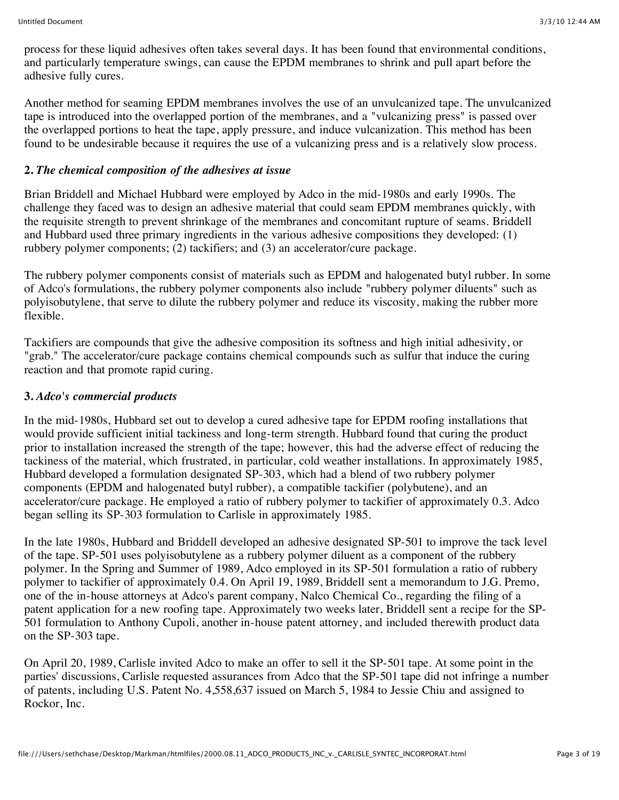process for these liquid adhesives often takes several days. It has been found that environmental conditions, and particularly temperature swings, can cause the EPDM membranes to shrink and pull apart before the adhesive fully cures.

Another method for seaming EPDM membranes involves the use of an unvulcanized tape. The unvulcanized tape is introduced into the overlapped portion of the membranes, and a "vulcanizing press" is passed over the overlapped portions to heat the tape, apply pressure, and induce vulcanization. This method has been found to be undesirable because it requires the use of a vulcanizing press and is a relatively slow process.

#### **2.** *The chemical composition of the adhesives at issue*

Brian Briddell and Michael Hubbard were employed by Adco in the mid-1980s and early 1990s. The challenge they faced was to design an adhesive material that could seam EPDM membranes quickly, with the requisite strength to prevent shrinkage of the membranes and concomitant rupture of seams. Briddell and Hubbard used three primary ingredients in the various adhesive compositions they developed: (1) rubbery polymer components; (2) tackifiers; and (3) an accelerator/cure package.

The rubbery polymer components consist of materials such as EPDM and halogenated butyl rubber. In some of Adco's formulations, the rubbery polymer components also include "rubbery polymer diluents" such as polyisobutylene, that serve to dilute the rubbery polymer and reduce its viscosity, making the rubber more flexible.

Tackifiers are compounds that give the adhesive composition its softness and high initial adhesivity, or "grab." The accelerator/cure package contains chemical compounds such as sulfur that induce the curing reaction and that promote rapid curing.

## **3.** *Adco's commercial products*

In the mid-1980s, Hubbard set out to develop a cured adhesive tape for EPDM roofing installations that would provide sufficient initial tackiness and long-term strength. Hubbard found that curing the product prior to installation increased the strength of the tape; however, this had the adverse effect of reducing the tackiness of the material, which frustrated, in particular, cold weather installations. In approximately 1985, Hubbard developed a formulation designated SP-303, which had a blend of two rubbery polymer components (EPDM and halogenated butyl rubber), a compatible tackifier (polybutene), and an accelerator/cure package. He employed a ratio of rubbery polymer to tackifier of approximately 0.3. Adco began selling its SP-303 formulation to Carlisle in approximately 1985.

In the late 1980s, Hubbard and Briddell developed an adhesive designated SP-501 to improve the tack level of the tape. SP-501 uses polyisobutylene as a rubbery polymer diluent as a component of the rubbery polymer. In the Spring and Summer of 1989, Adco employed in its SP-501 formulation a ratio of rubbery polymer to tackifier of approximately 0.4. On April 19, 1989, Briddell sent a memorandum to J.G. Premo, one of the in-house attorneys at Adco's parent company, Nalco Chemical Co., regarding the filing of a patent application for a new roofing tape. Approximately two weeks later, Briddell sent a recipe for the SP-501 formulation to Anthony Cupoli, another in-house patent attorney, and included therewith product data on the SP-303 tape.

On April 20, 1989, Carlisle invited Adco to make an offer to sell it the SP-501 tape. At some point in the parties' discussions, Carlisle requested assurances from Adco that the SP-501 tape did not infringe a number of patents, including U.S. Patent No. 4,558,637 issued on March 5, 1984 to Jessie Chiu and assigned to Rockor, Inc.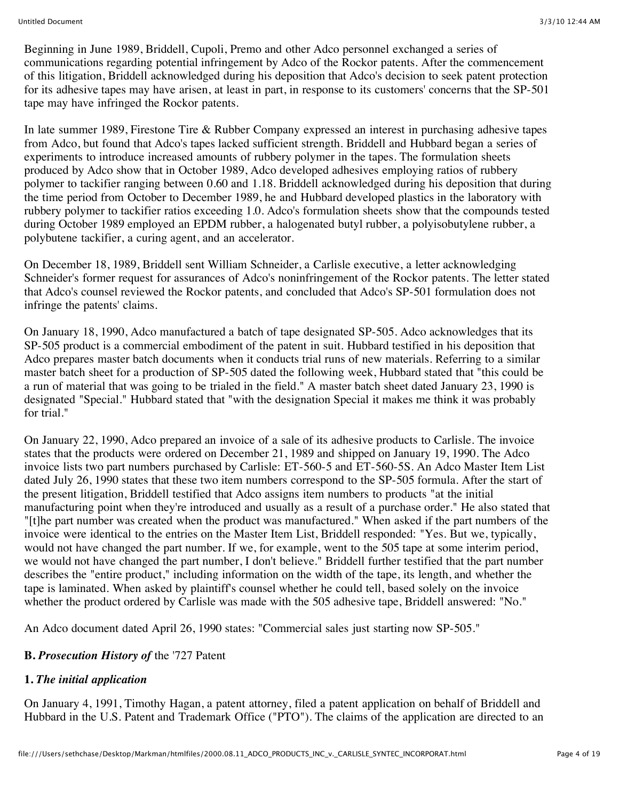Beginning in June 1989, Briddell, Cupoli, Premo and other Adco personnel exchanged a series of communications regarding potential infringement by Adco of the Rockor patents. After the commencement of this litigation, Briddell acknowledged during his deposition that Adco's decision to seek patent protection for its adhesive tapes may have arisen, at least in part, in response to its customers' concerns that the SP-501 tape may have infringed the Rockor patents.

In late summer 1989, Firestone Tire & Rubber Company expressed an interest in purchasing adhesive tapes from Adco, but found that Adco's tapes lacked sufficient strength. Briddell and Hubbard began a series of experiments to introduce increased amounts of rubbery polymer in the tapes. The formulation sheets produced by Adco show that in October 1989, Adco developed adhesives employing ratios of rubbery polymer to tackifier ranging between 0.60 and 1.18. Briddell acknowledged during his deposition that during the time period from October to December 1989, he and Hubbard developed plastics in the laboratory with rubbery polymer to tackifier ratios exceeding 1.0. Adco's formulation sheets show that the compounds tested during October 1989 employed an EPDM rubber, a halogenated butyl rubber, a polyisobutylene rubber, a polybutene tackifier, a curing agent, and an accelerator.

On December 18, 1989, Briddell sent William Schneider, a Carlisle executive, a letter acknowledging Schneider's former request for assurances of Adco's noninfringement of the Rockor patents. The letter stated that Adco's counsel reviewed the Rockor patents, and concluded that Adco's SP-501 formulation does not infringe the patents' claims.

On January 18, 1990, Adco manufactured a batch of tape designated SP-505. Adco acknowledges that its SP-505 product is a commercial embodiment of the patent in suit. Hubbard testified in his deposition that Adco prepares master batch documents when it conducts trial runs of new materials. Referring to a similar master batch sheet for a production of SP-505 dated the following week, Hubbard stated that "this could be a run of material that was going to be trialed in the field." A master batch sheet dated January 23, 1990 is designated "Special." Hubbard stated that "with the designation Special it makes me think it was probably for trial."

On January 22, 1990, Adco prepared an invoice of a sale of its adhesive products to Carlisle. The invoice states that the products were ordered on December 21, 1989 and shipped on January 19, 1990. The Adco invoice lists two part numbers purchased by Carlisle: ET-560-5 and ET-560-5S. An Adco Master Item List dated July 26, 1990 states that these two item numbers correspond to the SP-505 formula. After the start of the present litigation, Briddell testified that Adco assigns item numbers to products "at the initial manufacturing point when they're introduced and usually as a result of a purchase order." He also stated that "[t]he part number was created when the product was manufactured." When asked if the part numbers of the invoice were identical to the entries on the Master Item List, Briddell responded: "Yes. But we, typically, would not have changed the part number. If we, for example, went to the 505 tape at some interim period, we would not have changed the part number, I don't believe." Briddell further testified that the part number describes the "entire product," including information on the width of the tape, its length, and whether the tape is laminated. When asked by plaintiff's counsel whether he could tell, based solely on the invoice whether the product ordered by Carlisle was made with the 505 adhesive tape, Briddell answered: "No."

An Adco document dated April 26, 1990 states: "Commercial sales just starting now SP-505."

## **B.** *Prosecution History of* the '727 Patent

## **1.** *The initial application*

On January 4, 1991, Timothy Hagan, a patent attorney, filed a patent application on behalf of Briddell and Hubbard in the U.S. Patent and Trademark Office ("PTO"). The claims of the application are directed to an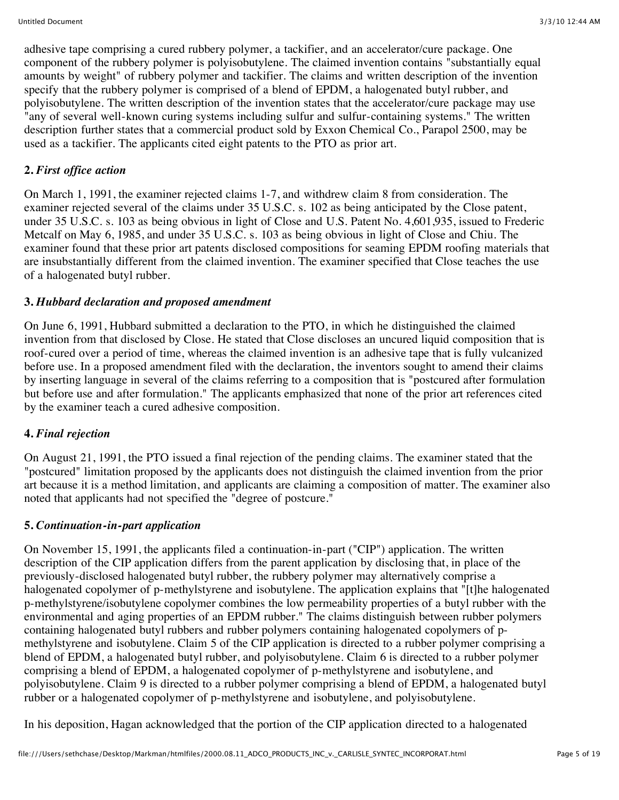adhesive tape comprising a cured rubbery polymer, a tackifier, and an accelerator/cure package. One component of the rubbery polymer is polyisobutylene. The claimed invention contains "substantially equal amounts by weight" of rubbery polymer and tackifier. The claims and written description of the invention specify that the rubbery polymer is comprised of a blend of EPDM, a halogenated butyl rubber, and polyisobutylene. The written description of the invention states that the accelerator/cure package may use "any of several well-known curing systems including sulfur and sulfur-containing systems." The written description further states that a commercial product sold by Exxon Chemical Co., Parapol 2500, may be used as a tackifier. The applicants cited eight patents to the PTO as prior art.

# **2.** *First office action*

On March 1, 1991, the examiner rejected claims 1-7, and withdrew claim 8 from consideration. The examiner rejected several of the claims under 35 U.S.C. s. 102 as being anticipated by the Close patent, under 35 U.S.C. s. 103 as being obvious in light of Close and U.S. Patent No. 4,601,935, issued to Frederic Metcalf on May 6, 1985, and under 35 U.S.C. s. 103 as being obvious in light of Close and Chiu. The examiner found that these prior art patents disclosed compositions for seaming EPDM roofing materials that are insubstantially different from the claimed invention. The examiner specified that Close teaches the use of a halogenated butyl rubber.

## **3.** *Hubbard declaration and proposed amendment*

On June 6, 1991, Hubbard submitted a declaration to the PTO, in which he distinguished the claimed invention from that disclosed by Close. He stated that Close discloses an uncured liquid composition that is roof-cured over a period of time, whereas the claimed invention is an adhesive tape that is fully vulcanized before use. In a proposed amendment filed with the declaration, the inventors sought to amend their claims by inserting language in several of the claims referring to a composition that is "postcured after formulation but before use and after formulation." The applicants emphasized that none of the prior art references cited by the examiner teach a cured adhesive composition.

## **4.** *Final rejection*

On August 21, 1991, the PTO issued a final rejection of the pending claims. The examiner stated that the "postcured" limitation proposed by the applicants does not distinguish the claimed invention from the prior art because it is a method limitation, and applicants are claiming a composition of matter. The examiner also noted that applicants had not specified the "degree of postcure."

## **5.** *Continuation-in-part application*

On November 15, 1991, the applicants filed a continuation-in-part ("CIP") application. The written description of the CIP application differs from the parent application by disclosing that, in place of the previously-disclosed halogenated butyl rubber, the rubbery polymer may alternatively comprise a halogenated copolymer of p-methylstyrene and isobutylene. The application explains that "[t]he halogenated p-methylstyrene/isobutylene copolymer combines the low permeability properties of a butyl rubber with the environmental and aging properties of an EPDM rubber." The claims distinguish between rubber polymers containing halogenated butyl rubbers and rubber polymers containing halogenated copolymers of pmethylstyrene and isobutylene. Claim 5 of the CIP application is directed to a rubber polymer comprising a blend of EPDM, a halogenated butyl rubber, and polyisobutylene. Claim 6 is directed to a rubber polymer comprising a blend of EPDM, a halogenated copolymer of p-methylstyrene and isobutylene, and polyisobutylene. Claim 9 is directed to a rubber polymer comprising a blend of EPDM, a halogenated butyl rubber or a halogenated copolymer of p-methylstyrene and isobutylene, and polyisobutylene.

In his deposition, Hagan acknowledged that the portion of the CIP application directed to a halogenated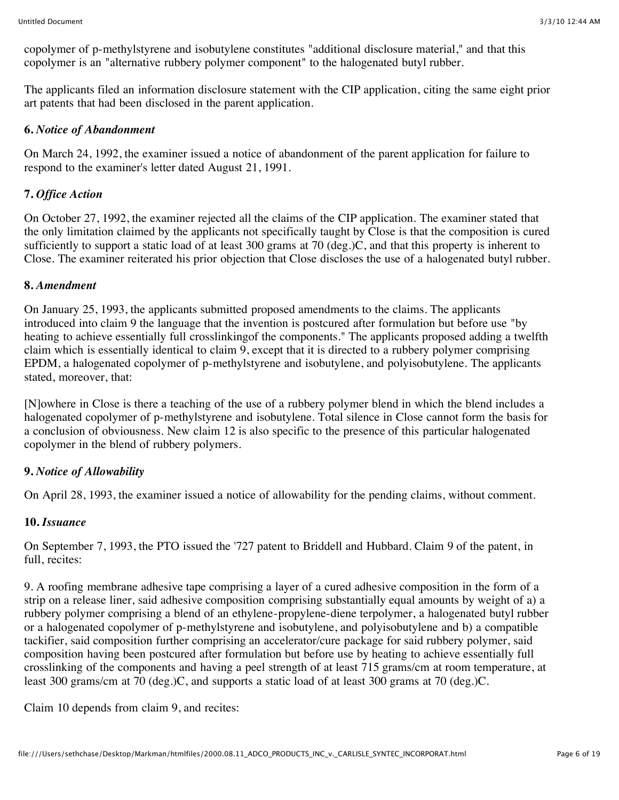copolymer of p-methylstyrene and isobutylene constitutes "additional disclosure material," and that this copolymer is an "alternative rubbery polymer component" to the halogenated butyl rubber.

The applicants filed an information disclosure statement with the CIP application, citing the same eight prior art patents that had been disclosed in the parent application.

### **6.** *Notice of Abandonment*

On March 24, 1992, the examiner issued a notice of abandonment of the parent application for failure to respond to the examiner's letter dated August 21, 1991.

# **7.** *Office Action*

On October 27, 1992, the examiner rejected all the claims of the CIP application. The examiner stated that the only limitation claimed by the applicants not specifically taught by Close is that the composition is cured sufficiently to support a static load of at least 300 grams at 70 (deg.)C, and that this property is inherent to Close. The examiner reiterated his prior objection that Close discloses the use of a halogenated butyl rubber.

#### **8.** *Amendment*

On January 25, 1993, the applicants submitted proposed amendments to the claims. The applicants introduced into claim 9 the language that the invention is postcured after formulation but before use "by heating to achieve essentially full crosslinkingof the components." The applicants proposed adding a twelfth claim which is essentially identical to claim 9, except that it is directed to a rubbery polymer comprising EPDM, a halogenated copolymer of p-methylstyrene and isobutylene, and polyisobutylene. The applicants stated, moreover, that:

[N]owhere in Close is there a teaching of the use of a rubbery polymer blend in which the blend includes a halogenated copolymer of p-methylstyrene and isobutylene. Total silence in Close cannot form the basis for a conclusion of obviousness. New claim 12 is also specific to the presence of this particular halogenated copolymer in the blend of rubbery polymers.

## **9.** *Notice of Allowability*

On April 28, 1993, the examiner issued a notice of allowability for the pending claims, without comment.

## **10.** *Issuance*

On September 7, 1993, the PTO issued the '727 patent to Briddell and Hubbard. Claim 9 of the patent, in full, recites:

9. A roofing membrane adhesive tape comprising a layer of a cured adhesive composition in the form of a strip on a release liner, said adhesive composition comprising substantially equal amounts by weight of a) a rubbery polymer comprising a blend of an ethylene-propylene-diene terpolymer, a halogenated butyl rubber or a halogenated copolymer of p-methylstyrene and isobutylene, and polyisobutylene and b) a compatible tackifier, said composition further comprising an accelerator/cure package for said rubbery polymer, said composition having been postcured after formulation but before use by heating to achieve essentially full crosslinking of the components and having a peel strength of at least 715 grams/cm at room temperature, at least 300 grams/cm at 70 (deg.)C, and supports a static load of at least 300 grams at 70 (deg.)C.

Claim 10 depends from claim 9, and recites: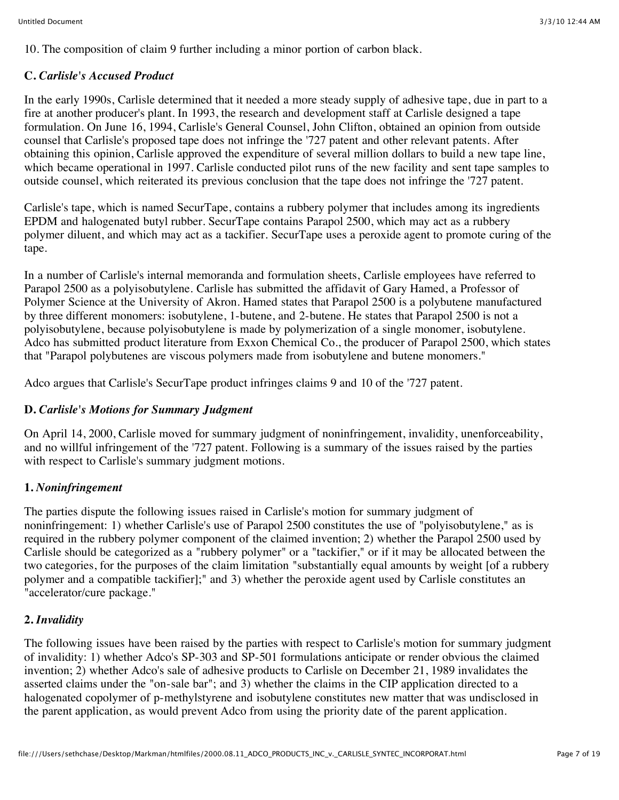10. The composition of claim 9 further including a minor portion of carbon black.

# **C.** *Carlisle's Accused Product*

In the early 1990s, Carlisle determined that it needed a more steady supply of adhesive tape, due in part to a fire at another producer's plant. In 1993, the research and development staff at Carlisle designed a tape formulation. On June 16, 1994, Carlisle's General Counsel, John Clifton, obtained an opinion from outside counsel that Carlisle's proposed tape does not infringe the '727 patent and other relevant patents. After obtaining this opinion, Carlisle approved the expenditure of several million dollars to build a new tape line, which became operational in 1997. Carlisle conducted pilot runs of the new facility and sent tape samples to outside counsel, which reiterated its previous conclusion that the tape does not infringe the '727 patent.

Carlisle's tape, which is named SecurTape, contains a rubbery polymer that includes among its ingredients EPDM and halogenated butyl rubber. SecurTape contains Parapol 2500, which may act as a rubbery polymer diluent, and which may act as a tackifier. SecurTape uses a peroxide agent to promote curing of the tape.

In a number of Carlisle's internal memoranda and formulation sheets, Carlisle employees have referred to Parapol 2500 as a polyisobutylene. Carlisle has submitted the affidavit of Gary Hamed, a Professor of Polymer Science at the University of Akron. Hamed states that Parapol 2500 is a polybutene manufactured by three different monomers: isobutylene, 1-butene, and 2-butene. He states that Parapol 2500 is not a polyisobutylene, because polyisobutylene is made by polymerization of a single monomer, isobutylene. Adco has submitted product literature from Exxon Chemical Co., the producer of Parapol 2500, which states that "Parapol polybutenes are viscous polymers made from isobutylene and butene monomers."

Adco argues that Carlisle's SecurTape product infringes claims 9 and 10 of the '727 patent.

# **D.** *Carlisle's Motions for Summary Judgment*

On April 14, 2000, Carlisle moved for summary judgment of noninfringement, invalidity, unenforceability, and no willful infringement of the '727 patent. Following is a summary of the issues raised by the parties with respect to Carlisle's summary judgment motions.

# **1.** *Noninfringement*

The parties dispute the following issues raised in Carlisle's motion for summary judgment of noninfringement: 1) whether Carlisle's use of Parapol 2500 constitutes the use of "polyisobutylene," as is required in the rubbery polymer component of the claimed invention; 2) whether the Parapol 2500 used by Carlisle should be categorized as a "rubbery polymer" or a "tackifier," or if it may be allocated between the two categories, for the purposes of the claim limitation "substantially equal amounts by weight [of a rubbery polymer and a compatible tackifier];" and 3) whether the peroxide agent used by Carlisle constitutes an "accelerator/cure package."

# **2.** *Invalidity*

The following issues have been raised by the parties with respect to Carlisle's motion for summary judgment of invalidity: 1) whether Adco's SP-303 and SP-501 formulations anticipate or render obvious the claimed invention; 2) whether Adco's sale of adhesive products to Carlisle on December 21, 1989 invalidates the asserted claims under the "on-sale bar"; and 3) whether the claims in the CIP application directed to a halogenated copolymer of p-methylstyrene and isobutylene constitutes new matter that was undisclosed in the parent application, as would prevent Adco from using the priority date of the parent application.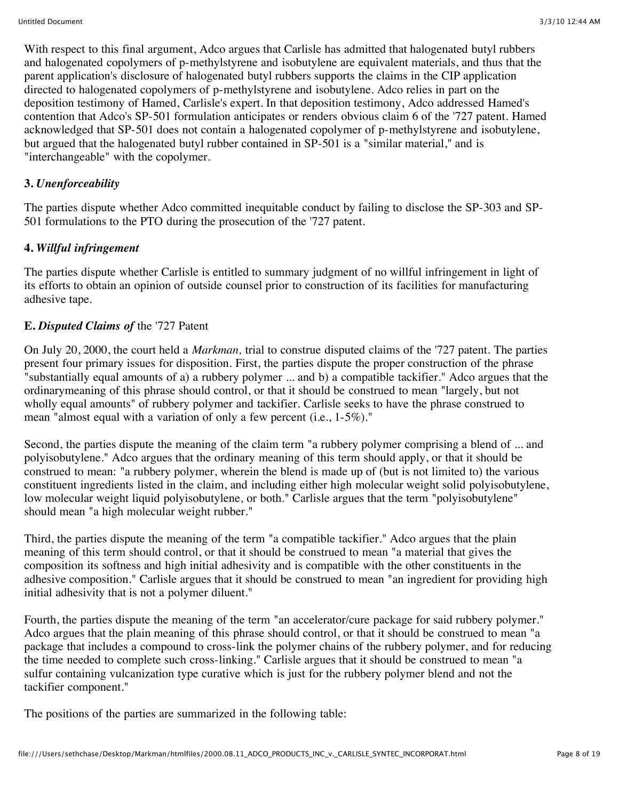With respect to this final argument, Adco argues that Carlisle has admitted that halogenated butyl rubbers and halogenated copolymers of p-methylstyrene and isobutylene are equivalent materials, and thus that the parent application's disclosure of halogenated butyl rubbers supports the claims in the CIP application directed to halogenated copolymers of p-methylstyrene and isobutylene. Adco relies in part on the deposition testimony of Hamed, Carlisle's expert. In that deposition testimony, Adco addressed Hamed's contention that Adco's SP-501 formulation anticipates or renders obvious claim 6 of the '727 patent. Hamed acknowledged that SP-501 does not contain a halogenated copolymer of p-methylstyrene and isobutylene, but argued that the halogenated butyl rubber contained in SP-501 is a "similar material," and is "interchangeable" with the copolymer.

## **3.** *Unenforceability*

The parties dispute whether Adco committed inequitable conduct by failing to disclose the SP-303 and SP-501 formulations to the PTO during the prosecution of the '727 patent.

## **4.** *Willful infringement*

The parties dispute whether Carlisle is entitled to summary judgment of no willful infringement in light of its efforts to obtain an opinion of outside counsel prior to construction of its facilities for manufacturing adhesive tape.

#### **E.** *Disputed Claims of* the '727 Patent

On July 20, 2000, the court held a *Markman,* trial to construe disputed claims of the '727 patent. The parties present four primary issues for disposition. First, the parties dispute the proper construction of the phrase "substantially equal amounts of a) a rubbery polymer ... and b) a compatible tackifier." Adco argues that the ordinarymeaning of this phrase should control, or that it should be construed to mean "largely, but not wholly equal amounts" of rubbery polymer and tackifier. Carlisle seeks to have the phrase construed to mean "almost equal with a variation of only a few percent (i.e., 1-5%)."

Second, the parties dispute the meaning of the claim term "a rubbery polymer comprising a blend of ... and polyisobutylene." Adco argues that the ordinary meaning of this term should apply, or that it should be construed to mean: "a rubbery polymer, wherein the blend is made up of (but is not limited to) the various constituent ingredients listed in the claim, and including either high molecular weight solid polyisobutylene, low molecular weight liquid polyisobutylene, or both." Carlisle argues that the term "polyisobutylene" should mean "a high molecular weight rubber."

Third, the parties dispute the meaning of the term "a compatible tackifier." Adco argues that the plain meaning of this term should control, or that it should be construed to mean "a material that gives the composition its softness and high initial adhesivity and is compatible with the other constituents in the adhesive composition." Carlisle argues that it should be construed to mean "an ingredient for providing high initial adhesivity that is not a polymer diluent."

Fourth, the parties dispute the meaning of the term "an accelerator/cure package for said rubbery polymer." Adco argues that the plain meaning of this phrase should control, or that it should be construed to mean "a package that includes a compound to cross-link the polymer chains of the rubbery polymer, and for reducing the time needed to complete such cross-linking." Carlisle argues that it should be construed to mean "a sulfur containing vulcanization type curative which is just for the rubbery polymer blend and not the tackifier component."

The positions of the parties are summarized in the following table: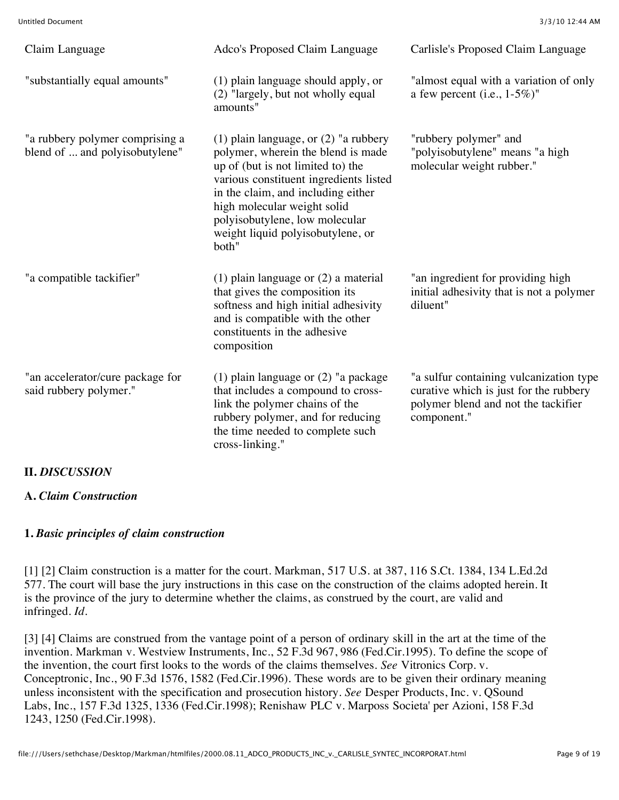| Claim Language                                                    | Adco's Proposed Claim Language                                                                                                                                                                                                                                                                                    | Carlisle's Proposed Claim Language                                                                                                      |
|-------------------------------------------------------------------|-------------------------------------------------------------------------------------------------------------------------------------------------------------------------------------------------------------------------------------------------------------------------------------------------------------------|-----------------------------------------------------------------------------------------------------------------------------------------|
| "substantially equal amounts"                                     | (1) plain language should apply, or<br>(2) "largely, but not wholly equal<br>amounts"                                                                                                                                                                                                                             | "almost equal with a variation of only<br>a few percent (i.e., $1-5\%$ )"                                                               |
| "a rubbery polymer comprising a<br>blend of  and polyisobutylene" | (1) plain language, or $(2)$ "a rubbery<br>polymer, wherein the blend is made<br>up of (but is not limited to) the<br>various constituent ingredients listed<br>in the claim, and including either<br>high molecular weight solid<br>polyisobutylene, low molecular<br>weight liquid polyisobutylene, or<br>both" | "rubbery polymer" and<br>"polyisobutylene" means "a high<br>molecular weight rubber."                                                   |
| "a compatible tackifier"                                          | $(1)$ plain language or $(2)$ a material<br>that gives the composition its<br>softness and high initial adhesivity<br>and is compatible with the other<br>constituents in the adhesive<br>composition                                                                                                             | "an ingredient for providing high<br>initial adhesivity that is not a polymer<br>diluent"                                               |
| "an accelerator/cure package for<br>said rubbery polymer."        | $(1)$ plain language or $(2)$ "a package<br>that includes a compound to cross-<br>link the polymer chains of the<br>rubbery polymer, and for reducing<br>the time needed to complete such<br>cross-linking."                                                                                                      | "a sulfur containing vulcanization type<br>curative which is just for the rubbery<br>polymer blend and not the tackifier<br>component." |

**A.** *Claim Construction*

**II.** *DISCUSSION*

#### **1.** *Basic principles of claim construction*

[1] [2] Claim construction is a matter for the court. Markman, 517 U.S. at 387, 116 S.Ct. 1384, 134 L.Ed.2d 577. The court will base the jury instructions in this case on the construction of the claims adopted herein. It is the province of the jury to determine whether the claims, as construed by the court, are valid and infringed. *Id.*

[3] [4] Claims are construed from the vantage point of a person of ordinary skill in the art at the time of the invention. Markman v. Westview Instruments, Inc., 52 F.3d 967, 986 (Fed.Cir.1995). To define the scope of the invention, the court first looks to the words of the claims themselves. *See* Vitronics Corp. v. Conceptronic, Inc., 90 F.3d 1576, 1582 (Fed.Cir.1996). These words are to be given their ordinary meaning unless inconsistent with the specification and prosecution history. *See* Desper Products, Inc. v. QSound Labs, Inc., 157 F.3d 1325, 1336 (Fed.Cir.1998); Renishaw PLC v. Marposs Societa' per Azioni, 158 F.3d 1243, 1250 (Fed.Cir.1998).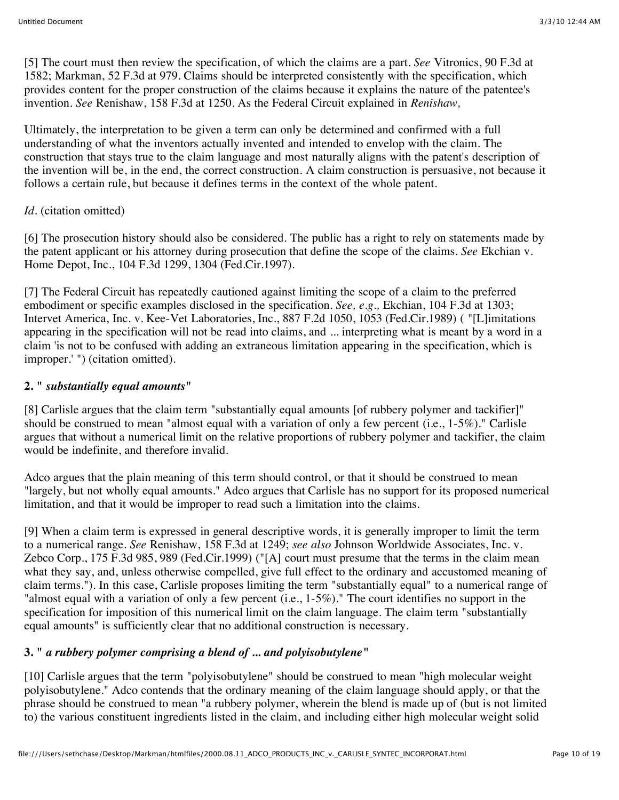[5] The court must then review the specification, of which the claims are a part. *See* Vitronics, 90 F.3d at 1582; Markman, 52 F.3d at 979. Claims should be interpreted consistently with the specification, which provides content for the proper construction of the claims because it explains the nature of the patentee's invention. *See* Renishaw, 158 F.3d at 1250. As the Federal Circuit explained in *Renishaw,*

Ultimately, the interpretation to be given a term can only be determined and confirmed with a full understanding of what the inventors actually invented and intended to envelop with the claim. The construction that stays true to the claim language and most naturally aligns with the patent's description of the invention will be, in the end, the correct construction. A claim construction is persuasive, not because it follows a certain rule, but because it defines terms in the context of the whole patent.

# *Id.* (citation omitted)

[6] The prosecution history should also be considered. The public has a right to rely on statements made by the patent applicant or his attorney during prosecution that define the scope of the claims. *See* Ekchian v. Home Depot, Inc., 104 F.3d 1299, 1304 (Fed.Cir.1997).

[7] The Federal Circuit has repeatedly cautioned against limiting the scope of a claim to the preferred embodiment or specific examples disclosed in the specification. *See, e.g.,* Ekchian, 104 F.3d at 1303; Intervet America, Inc. v. Kee-Vet Laboratories, Inc., 887 F.2d 1050, 1053 (Fed.Cir.1989) ( "[L]imitations appearing in the specification will not be read into claims, and ... interpreting what is meant by a word in a claim 'is not to be confused with adding an extraneous limitation appearing in the specification, which is improper.' ") (citation omitted).

# **2. "** *substantially equal amounts***"**

[8] Carlisle argues that the claim term "substantially equal amounts [of rubbery polymer and tackifier]" should be construed to mean "almost equal with a variation of only a few percent (i.e., 1-5%)." Carlisle argues that without a numerical limit on the relative proportions of rubbery polymer and tackifier, the claim would be indefinite, and therefore invalid.

Adco argues that the plain meaning of this term should control, or that it should be construed to mean "largely, but not wholly equal amounts." Adco argues that Carlisle has no support for its proposed numerical limitation, and that it would be improper to read such a limitation into the claims.

[9] When a claim term is expressed in general descriptive words, it is generally improper to limit the term to a numerical range. *See* Renishaw, 158 F.3d at 1249; *see also* Johnson Worldwide Associates, Inc. v. Zebco Corp., 175 F.3d 985, 989 (Fed.Cir.1999) ("[A] court must presume that the terms in the claim mean what they say, and, unless otherwise compelled, give full effect to the ordinary and accustomed meaning of claim terms."). In this case, Carlisle proposes limiting the term "substantially equal" to a numerical range of "almost equal with a variation of only a few percent (i.e., 1-5%)." The court identifies no support in the specification for imposition of this numerical limit on the claim language. The claim term "substantially equal amounts" is sufficiently clear that no additional construction is necessary.

# **3. "** *a rubbery polymer comprising a blend of ... and polyisobutylene***"**

[10] Carlisle argues that the term "polyisobutylene" should be construed to mean "high molecular weight polyisobutylene." Adco contends that the ordinary meaning of the claim language should apply, or that the phrase should be construed to mean "a rubbery polymer, wherein the blend is made up of (but is not limited to) the various constituent ingredients listed in the claim, and including either high molecular weight solid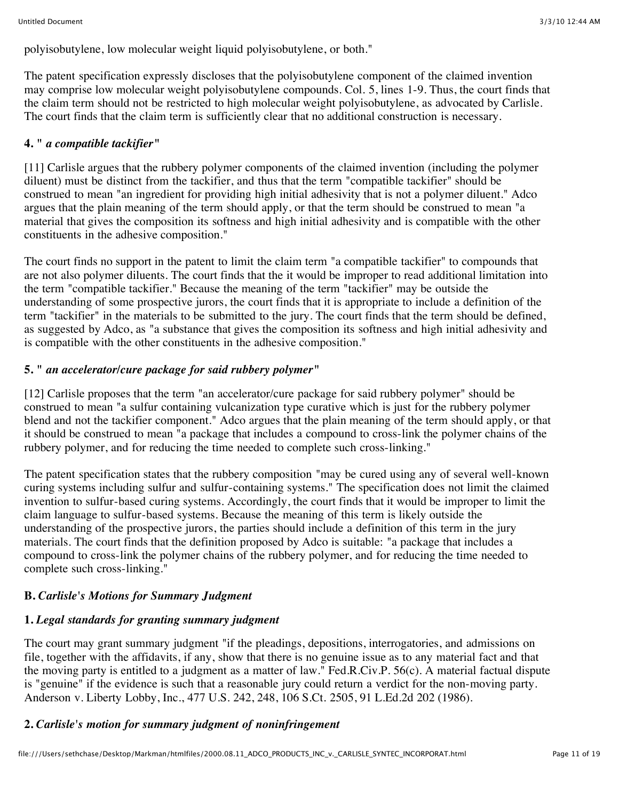polyisobutylene, low molecular weight liquid polyisobutylene, or both."

The patent specification expressly discloses that the polyisobutylene component of the claimed invention may comprise low molecular weight polyisobutylene compounds. Col. 5, lines 1-9. Thus, the court finds that the claim term should not be restricted to high molecular weight polyisobutylene, as advocated by Carlisle. The court finds that the claim term is sufficiently clear that no additional construction is necessary.

# **4. "** *a compatible tackifier***"**

[11] Carlisle argues that the rubbery polymer components of the claimed invention (including the polymer diluent) must be distinct from the tackifier, and thus that the term "compatible tackifier" should be construed to mean "an ingredient for providing high initial adhesivity that is not a polymer diluent." Adco argues that the plain meaning of the term should apply, or that the term should be construed to mean "a material that gives the composition its softness and high initial adhesivity and is compatible with the other constituents in the adhesive composition."

The court finds no support in the patent to limit the claim term "a compatible tackifier" to compounds that are not also polymer diluents. The court finds that the it would be improper to read additional limitation into the term "compatible tackifier." Because the meaning of the term "tackifier" may be outside the understanding of some prospective jurors, the court finds that it is appropriate to include a definition of the term "tackifier" in the materials to be submitted to the jury. The court finds that the term should be defined, as suggested by Adco, as "a substance that gives the composition its softness and high initial adhesivity and is compatible with the other constituents in the adhesive composition."

# **5. "** *an accelerator/cure package for said rubbery polymer***"**

[12] Carlisle proposes that the term "an accelerator/cure package for said rubbery polymer" should be construed to mean "a sulfur containing vulcanization type curative which is just for the rubbery polymer blend and not the tackifier component." Adco argues that the plain meaning of the term should apply, or that it should be construed to mean "a package that includes a compound to cross-link the polymer chains of the rubbery polymer, and for reducing the time needed to complete such cross-linking."

The patent specification states that the rubbery composition "may be cured using any of several well-known curing systems including sulfur and sulfur-containing systems." The specification does not limit the claimed invention to sulfur-based curing systems. Accordingly, the court finds that it would be improper to limit the claim language to sulfur-based systems. Because the meaning of this term is likely outside the understanding of the prospective jurors, the parties should include a definition of this term in the jury materials. The court finds that the definition proposed by Adco is suitable: "a package that includes a compound to cross-link the polymer chains of the rubbery polymer, and for reducing the time needed to complete such cross-linking."

# **B.** *Carlisle's Motions for Summary Judgment*

# **1.** *Legal standards for granting summary judgment*

The court may grant summary judgment "if the pleadings, depositions, interrogatories, and admissions on file, together with the affidavits, if any, show that there is no genuine issue as to any material fact and that the moving party is entitled to a judgment as a matter of law." Fed.R.Civ.P. 56(c). A material factual dispute is "genuine" if the evidence is such that a reasonable jury could return a verdict for the non-moving party. Anderson v. Liberty Lobby, Inc., 477 U.S. 242, 248, 106 S.Ct. 2505, 91 L.Ed.2d 202 (1986).

# **2.** *Carlisle's motion for summary judgment of noninfringement*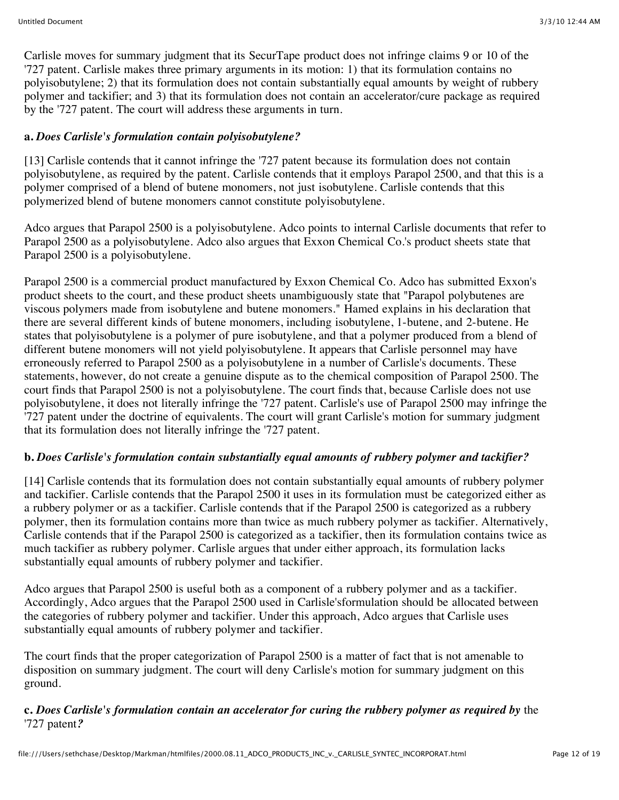Carlisle moves for summary judgment that its SecurTape product does not infringe claims 9 or 10 of the '727 patent. Carlisle makes three primary arguments in its motion: 1) that its formulation contains no polyisobutylene; 2) that its formulation does not contain substantially equal amounts by weight of rubbery polymer and tackifier; and 3) that its formulation does not contain an accelerator/cure package as required by the '727 patent. The court will address these arguments in turn.

# **a.** *Does Carlisle's formulation contain polyisobutylene?*

[13] Carlisle contends that it cannot infringe the '727 patent because its formulation does not contain polyisobutylene, as required by the patent. Carlisle contends that it employs Parapol 2500, and that this is a polymer comprised of a blend of butene monomers, not just isobutylene. Carlisle contends that this polymerized blend of butene monomers cannot constitute polyisobutylene.

Adco argues that Parapol 2500 is a polyisobutylene. Adco points to internal Carlisle documents that refer to Parapol 2500 as a polyisobutylene. Adco also argues that Exxon Chemical Co.'s product sheets state that Parapol 2500 is a polyisobutylene.

Parapol 2500 is a commercial product manufactured by Exxon Chemical Co. Adco has submitted Exxon's product sheets to the court, and these product sheets unambiguously state that "Parapol polybutenes are viscous polymers made from isobutylene and butene monomers." Hamed explains in his declaration that there are several different kinds of butene monomers, including isobutylene, 1-butene, and 2-butene. He states that polyisobutylene is a polymer of pure isobutylene, and that a polymer produced from a blend of different butene monomers will not yield polyisobutylene. It appears that Carlisle personnel may have erroneously referred to Parapol 2500 as a polyisobutylene in a number of Carlisle's documents. These statements, however, do not create a genuine dispute as to the chemical composition of Parapol 2500. The court finds that Parapol 2500 is not a polyisobutylene. The court finds that, because Carlisle does not use polyisobutylene, it does not literally infringe the '727 patent. Carlisle's use of Parapol 2500 may infringe the '727 patent under the doctrine of equivalents. The court will grant Carlisle's motion for summary judgment that its formulation does not literally infringe the '727 patent.

# **b.** *Does Carlisle's formulation contain substantially equal amounts of rubbery polymer and tackifier?*

[14] Carlisle contends that its formulation does not contain substantially equal amounts of rubbery polymer and tackifier. Carlisle contends that the Parapol 2500 it uses in its formulation must be categorized either as a rubbery polymer or as a tackifier. Carlisle contends that if the Parapol 2500 is categorized as a rubbery polymer, then its formulation contains more than twice as much rubbery polymer as tackifier. Alternatively, Carlisle contends that if the Parapol 2500 is categorized as a tackifier, then its formulation contains twice as much tackifier as rubbery polymer. Carlisle argues that under either approach, its formulation lacks substantially equal amounts of rubbery polymer and tackifier.

Adco argues that Parapol 2500 is useful both as a component of a rubbery polymer and as a tackifier. Accordingly, Adco argues that the Parapol 2500 used in Carlisle'sformulation should be allocated between the categories of rubbery polymer and tackifier. Under this approach, Adco argues that Carlisle uses substantially equal amounts of rubbery polymer and tackifier.

The court finds that the proper categorization of Parapol 2500 is a matter of fact that is not amenable to disposition on summary judgment. The court will deny Carlisle's motion for summary judgment on this ground.

## **c.** *Does Carlisle's formulation contain an accelerator for curing the rubbery polymer as required by* the '727 patent*?*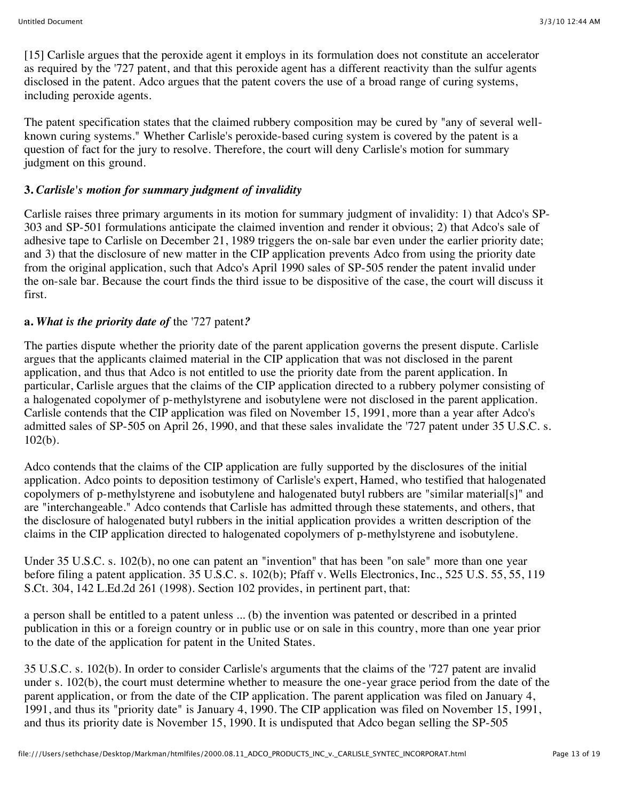[15] Carlisle argues that the peroxide agent it employs in its formulation does not constitute an accelerator as required by the '727 patent, and that this peroxide agent has a different reactivity than the sulfur agents disclosed in the patent. Adco argues that the patent covers the use of a broad range of curing systems, including peroxide agents.

The patent specification states that the claimed rubbery composition may be cured by "any of several wellknown curing systems." Whether Carlisle's peroxide-based curing system is covered by the patent is a question of fact for the jury to resolve. Therefore, the court will deny Carlisle's motion for summary judgment on this ground.

# **3.** *Carlisle's motion for summary judgment of invalidity*

Carlisle raises three primary arguments in its motion for summary judgment of invalidity: 1) that Adco's SP-303 and SP-501 formulations anticipate the claimed invention and render it obvious; 2) that Adco's sale of adhesive tape to Carlisle on December 21, 1989 triggers the on-sale bar even under the earlier priority date; and 3) that the disclosure of new matter in the CIP application prevents Adco from using the priority date from the original application, such that Adco's April 1990 sales of SP-505 render the patent invalid under the on-sale bar. Because the court finds the third issue to be dispositive of the case, the court will discuss it first.

# **a.** *What is the priority date of* the '727 patent*?*

The parties dispute whether the priority date of the parent application governs the present dispute. Carlisle argues that the applicants claimed material in the CIP application that was not disclosed in the parent application, and thus that Adco is not entitled to use the priority date from the parent application. In particular, Carlisle argues that the claims of the CIP application directed to a rubbery polymer consisting of a halogenated copolymer of p-methylstyrene and isobutylene were not disclosed in the parent application. Carlisle contends that the CIP application was filed on November 15, 1991, more than a year after Adco's admitted sales of SP-505 on April 26, 1990, and that these sales invalidate the '727 patent under 35 U.S.C. s. 102(b).

Adco contends that the claims of the CIP application are fully supported by the disclosures of the initial application. Adco points to deposition testimony of Carlisle's expert, Hamed, who testified that halogenated copolymers of p-methylstyrene and isobutylene and halogenated butyl rubbers are "similar material[s]" and are "interchangeable." Adco contends that Carlisle has admitted through these statements, and others, that the disclosure of halogenated butyl rubbers in the initial application provides a written description of the claims in the CIP application directed to halogenated copolymers of p-methylstyrene and isobutylene.

Under 35 U.S.C. s. 102(b), no one can patent an "invention" that has been "on sale" more than one year before filing a patent application. 35 U.S.C. s. 102(b); Pfaff v. Wells Electronics, Inc., 525 U.S. 55, 55, 119 S.Ct. 304, 142 L.Ed.2d 261 (1998). Section 102 provides, in pertinent part, that:

a person shall be entitled to a patent unless ... (b) the invention was patented or described in a printed publication in this or a foreign country or in public use or on sale in this country, more than one year prior to the date of the application for patent in the United States.

35 U.S.C. s. 102(b). In order to consider Carlisle's arguments that the claims of the '727 patent are invalid under s. 102(b), the court must determine whether to measure the one-year grace period from the date of the parent application, or from the date of the CIP application. The parent application was filed on January 4, 1991, and thus its "priority date" is January 4, 1990. The CIP application was filed on November 15, 1991, and thus its priority date is November 15, 1990. It is undisputed that Adco began selling the SP-505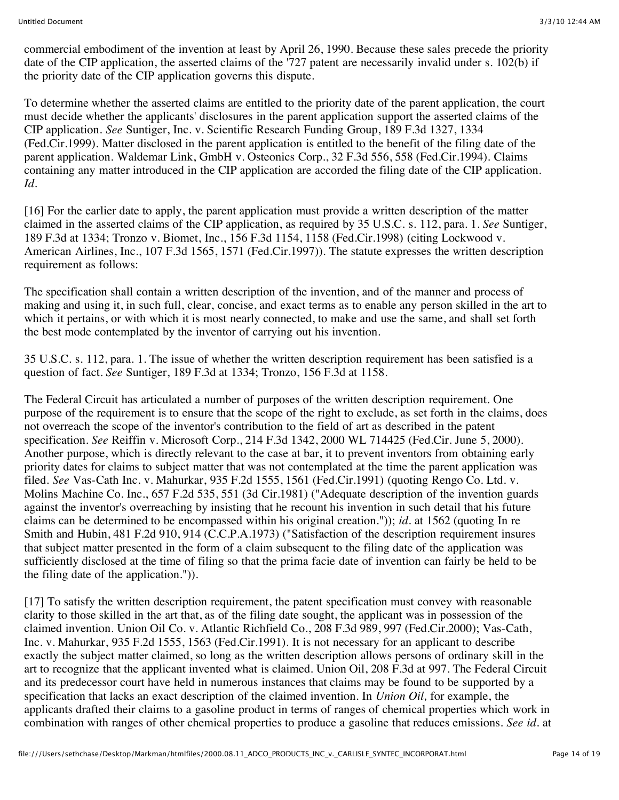commercial embodiment of the invention at least by April 26, 1990. Because these sales precede the priority date of the CIP application, the asserted claims of the '727 patent are necessarily invalid under s. 102(b) if the priority date of the CIP application governs this dispute.

To determine whether the asserted claims are entitled to the priority date of the parent application, the court must decide whether the applicants' disclosures in the parent application support the asserted claims of the CIP application. *See* Suntiger, Inc. v. Scientific Research Funding Group, 189 F.3d 1327, 1334 (Fed.Cir.1999). Matter disclosed in the parent application is entitled to the benefit of the filing date of the parent application. Waldemar Link, GmbH v. Osteonics Corp., 32 F.3d 556, 558 (Fed.Cir.1994). Claims containing any matter introduced in the CIP application are accorded the filing date of the CIP application. *Id.*

[16] For the earlier date to apply, the parent application must provide a written description of the matter claimed in the asserted claims of the CIP application, as required by 35 U.S.C. s. 112, para. 1. *See* Suntiger, 189 F.3d at 1334; Tronzo v. Biomet, Inc., 156 F.3d 1154, 1158 (Fed.Cir.1998) (citing Lockwood v. American Airlines, Inc., 107 F.3d 1565, 1571 (Fed.Cir.1997)). The statute expresses the written description requirement as follows:

The specification shall contain a written description of the invention, and of the manner and process of making and using it, in such full, clear, concise, and exact terms as to enable any person skilled in the art to which it pertains, or with which it is most nearly connected, to make and use the same, and shall set forth the best mode contemplated by the inventor of carrying out his invention.

35 U.S.C. s. 112, para. 1. The issue of whether the written description requirement has been satisfied is a question of fact. *See* Suntiger, 189 F.3d at 1334; Tronzo, 156 F.3d at 1158.

The Federal Circuit has articulated a number of purposes of the written description requirement. One purpose of the requirement is to ensure that the scope of the right to exclude, as set forth in the claims, does not overreach the scope of the inventor's contribution to the field of art as described in the patent specification. *See* Reiffin v. Microsoft Corp., 214 F.3d 1342, 2000 WL 714425 (Fed.Cir. June 5, 2000). Another purpose, which is directly relevant to the case at bar, it to prevent inventors from obtaining early priority dates for claims to subject matter that was not contemplated at the time the parent application was filed. *See* Vas-Cath Inc. v. Mahurkar, 935 F.2d 1555, 1561 (Fed.Cir.1991) (quoting Rengo Co. Ltd. v. Molins Machine Co. Inc., 657 F.2d 535, 551 (3d Cir.1981) ("Adequate description of the invention guards against the inventor's overreaching by insisting that he recount his invention in such detail that his future claims can be determined to be encompassed within his original creation.")); *id.* at 1562 (quoting In re Smith and Hubin, 481 F.2d 910, 914 (C.C.P.A.1973) ("Satisfaction of the description requirement insures that subject matter presented in the form of a claim subsequent to the filing date of the application was sufficiently disclosed at the time of filing so that the prima facie date of invention can fairly be held to be the filing date of the application.")).

[17] To satisfy the written description requirement, the patent specification must convey with reasonable clarity to those skilled in the art that, as of the filing date sought, the applicant was in possession of the claimed invention. Union Oil Co. v. Atlantic Richfield Co., 208 F.3d 989, 997 (Fed.Cir.2000); Vas-Cath, Inc. v. Mahurkar, 935 F.2d 1555, 1563 (Fed.Cir.1991). It is not necessary for an applicant to describe exactly the subject matter claimed, so long as the written description allows persons of ordinary skill in the art to recognize that the applicant invented what is claimed. Union Oil, 208 F.3d at 997. The Federal Circuit and its predecessor court have held in numerous instances that claims may be found to be supported by a specification that lacks an exact description of the claimed invention. In *Union Oil,* for example, the applicants drafted their claims to a gasoline product in terms of ranges of chemical properties which work in combination with ranges of other chemical properties to produce a gasoline that reduces emissions. *See id.* at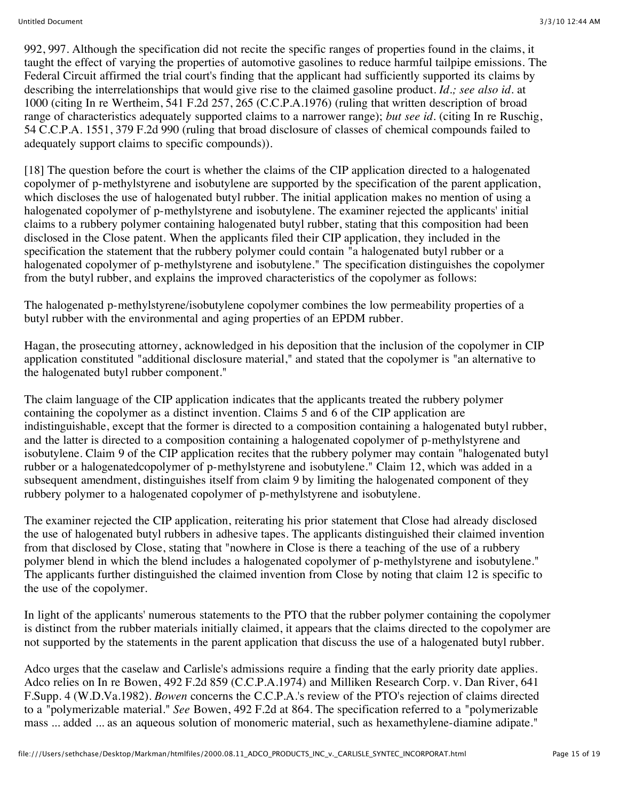992, 997. Although the specification did not recite the specific ranges of properties found in the claims, it taught the effect of varying the properties of automotive gasolines to reduce harmful tailpipe emissions. The Federal Circuit affirmed the trial court's finding that the applicant had sufficiently supported its claims by describing the interrelationships that would give rise to the claimed gasoline product. *Id.; see also id.* at 1000 (citing In re Wertheim, 541 F.2d 257, 265 (C.C.P.A.1976) (ruling that written description of broad range of characteristics adequately supported claims to a narrower range); *but see id.* (citing In re Ruschig, 54 C.C.P.A. 1551, 379 F.2d 990 (ruling that broad disclosure of classes of chemical compounds failed to adequately support claims to specific compounds)).

[18] The question before the court is whether the claims of the CIP application directed to a halogenated copolymer of p-methylstyrene and isobutylene are supported by the specification of the parent application, which discloses the use of halogenated butyl rubber. The initial application makes no mention of using a halogenated copolymer of p-methylstyrene and isobutylene. The examiner rejected the applicants' initial claims to a rubbery polymer containing halogenated butyl rubber, stating that this composition had been disclosed in the Close patent. When the applicants filed their CIP application, they included in the specification the statement that the rubbery polymer could contain "a halogenated butyl rubber or a halogenated copolymer of p-methylstyrene and isobutylene." The specification distinguishes the copolymer from the butyl rubber, and explains the improved characteristics of the copolymer as follows:

The halogenated p-methylstyrene/isobutylene copolymer combines the low permeability properties of a butyl rubber with the environmental and aging properties of an EPDM rubber.

Hagan, the prosecuting attorney, acknowledged in his deposition that the inclusion of the copolymer in CIP application constituted "additional disclosure material," and stated that the copolymer is "an alternative to the halogenated butyl rubber component."

The claim language of the CIP application indicates that the applicants treated the rubbery polymer containing the copolymer as a distinct invention. Claims 5 and 6 of the CIP application are indistinguishable, except that the former is directed to a composition containing a halogenated butyl rubber, and the latter is directed to a composition containing a halogenated copolymer of p-methylstyrene and isobutylene. Claim 9 of the CIP application recites that the rubbery polymer may contain "halogenated butyl rubber or a halogenatedcopolymer of p-methylstyrene and isobutylene." Claim 12, which was added in a subsequent amendment, distinguishes itself from claim 9 by limiting the halogenated component of they rubbery polymer to a halogenated copolymer of p-methylstyrene and isobutylene.

The examiner rejected the CIP application, reiterating his prior statement that Close had already disclosed the use of halogenated butyl rubbers in adhesive tapes. The applicants distinguished their claimed invention from that disclosed by Close, stating that "nowhere in Close is there a teaching of the use of a rubbery polymer blend in which the blend includes a halogenated copolymer of p-methylstyrene and isobutylene." The applicants further distinguished the claimed invention from Close by noting that claim 12 is specific to the use of the copolymer.

In light of the applicants' numerous statements to the PTO that the rubber polymer containing the copolymer is distinct from the rubber materials initially claimed, it appears that the claims directed to the copolymer are not supported by the statements in the parent application that discuss the use of a halogenated butyl rubber.

Adco urges that the caselaw and Carlisle's admissions require a finding that the early priority date applies. Adco relies on In re Bowen, 492 F.2d 859 (C.C.P.A.1974) and Milliken Research Corp. v. Dan River, 641 F.Supp. 4 (W.D.Va.1982). *Bowen* concerns the C.C.P.A.'s review of the PTO's rejection of claims directed to a "polymerizable material." *See* Bowen, 492 F.2d at 864. The specification referred to a "polymerizable mass ... added ... as an aqueous solution of monomeric material, such as hexamethylene-diamine adipate."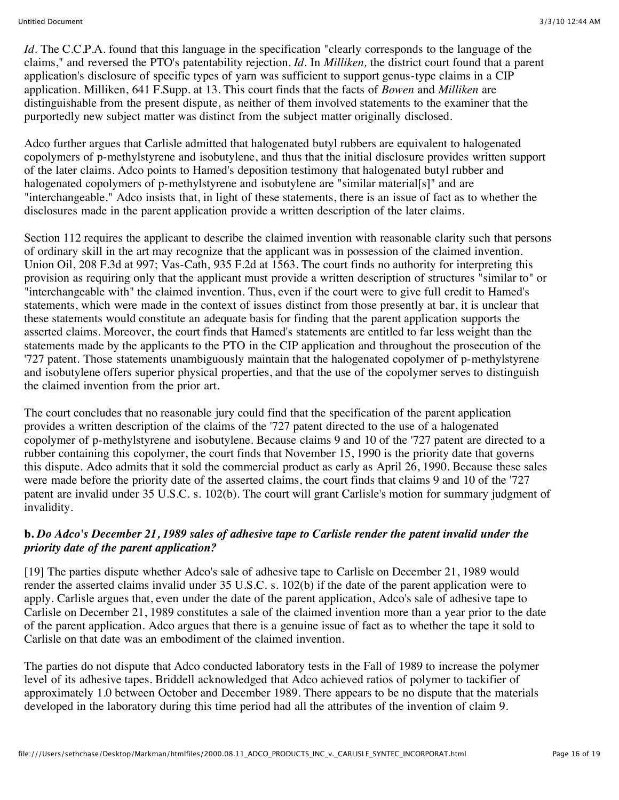*Id.* The C.C.P.A. found that this language in the specification "clearly corresponds to the language of the claims," and reversed the PTO's patentability rejection. *Id.* In *Milliken,* the district court found that a parent application's disclosure of specific types of yarn was sufficient to support genus-type claims in a CIP application. Milliken, 641 F.Supp. at 13. This court finds that the facts of *Bowen* and *Milliken* are distinguishable from the present dispute, as neither of them involved statements to the examiner that the purportedly new subject matter was distinct from the subject matter originally disclosed.

Adco further argues that Carlisle admitted that halogenated butyl rubbers are equivalent to halogenated copolymers of p-methylstyrene and isobutylene, and thus that the initial disclosure provides written support of the later claims. Adco points to Hamed's deposition testimony that halogenated butyl rubber and halogenated copolymers of p-methylstyrene and isobutylene are "similar material[s]" and are "interchangeable." Adco insists that, in light of these statements, there is an issue of fact as to whether the disclosures made in the parent application provide a written description of the later claims.

Section 112 requires the applicant to describe the claimed invention with reasonable clarity such that persons of ordinary skill in the art may recognize that the applicant was in possession of the claimed invention. Union Oil, 208 F.3d at 997; Vas-Cath, 935 F.2d at 1563. The court finds no authority for interpreting this provision as requiring only that the applicant must provide a written description of structures "similar to" or "interchangeable with" the claimed invention. Thus, even if the court were to give full credit to Hamed's statements, which were made in the context of issues distinct from those presently at bar, it is unclear that these statements would constitute an adequate basis for finding that the parent application supports the asserted claims. Moreover, the court finds that Hamed's statements are entitled to far less weight than the statements made by the applicants to the PTO in the CIP application and throughout the prosecution of the '727 patent. Those statements unambiguously maintain that the halogenated copolymer of p-methylstyrene and isobutylene offers superior physical properties, and that the use of the copolymer serves to distinguish the claimed invention from the prior art.

The court concludes that no reasonable jury could find that the specification of the parent application provides a written description of the claims of the '727 patent directed to the use of a halogenated copolymer of p-methylstyrene and isobutylene. Because claims 9 and 10 of the '727 patent are directed to a rubber containing this copolymer, the court finds that November 15, 1990 is the priority date that governs this dispute. Adco admits that it sold the commercial product as early as April 26, 1990. Because these sales were made before the priority date of the asserted claims, the court finds that claims 9 and 10 of the '727 patent are invalid under 35 U.S.C. s. 102(b). The court will grant Carlisle's motion for summary judgment of invalidity.

#### **b.** *Do Adco's December 21, 1989 sales of adhesive tape to Carlisle render the patent invalid under the priority date of the parent application?*

[19] The parties dispute whether Adco's sale of adhesive tape to Carlisle on December 21, 1989 would render the asserted claims invalid under 35 U.S.C. s. 102(b) if the date of the parent application were to apply. Carlisle argues that, even under the date of the parent application, Adco's sale of adhesive tape to Carlisle on December 21, 1989 constitutes a sale of the claimed invention more than a year prior to the date of the parent application. Adco argues that there is a genuine issue of fact as to whether the tape it sold to Carlisle on that date was an embodiment of the claimed invention.

The parties do not dispute that Adco conducted laboratory tests in the Fall of 1989 to increase the polymer level of its adhesive tapes. Briddell acknowledged that Adco achieved ratios of polymer to tackifier of approximately 1.0 between October and December 1989. There appears to be no dispute that the materials developed in the laboratory during this time period had all the attributes of the invention of claim 9.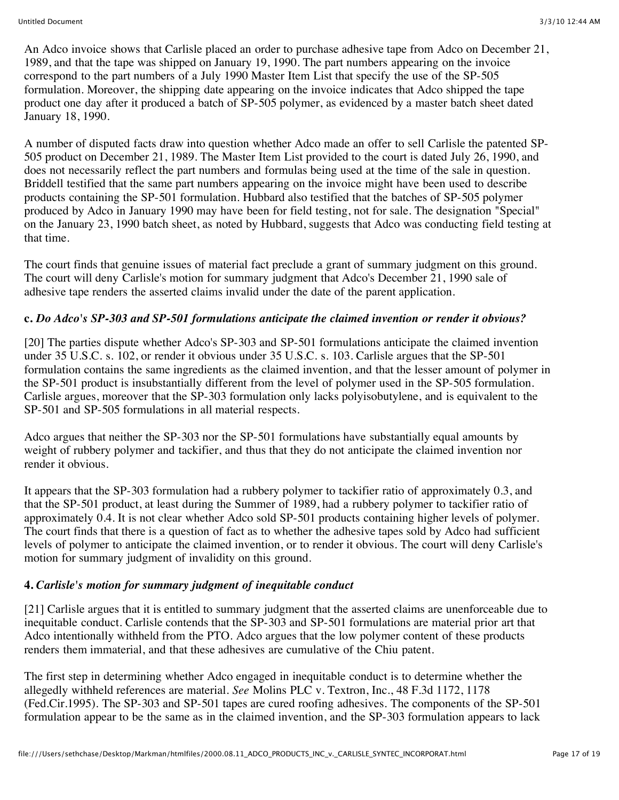An Adco invoice shows that Carlisle placed an order to purchase adhesive tape from Adco on December 21, 1989, and that the tape was shipped on January 19, 1990. The part numbers appearing on the invoice correspond to the part numbers of a July 1990 Master Item List that specify the use of the SP-505 formulation. Moreover, the shipping date appearing on the invoice indicates that Adco shipped the tape product one day after it produced a batch of SP-505 polymer, as evidenced by a master batch sheet dated January 18, 1990.

A number of disputed facts draw into question whether Adco made an offer to sell Carlisle the patented SP-505 product on December 21, 1989. The Master Item List provided to the court is dated July 26, 1990, and does not necessarily reflect the part numbers and formulas being used at the time of the sale in question. Briddell testified that the same part numbers appearing on the invoice might have been used to describe products containing the SP-501 formulation. Hubbard also testified that the batches of SP-505 polymer produced by Adco in January 1990 may have been for field testing, not for sale. The designation "Special" on the January 23, 1990 batch sheet, as noted by Hubbard, suggests that Adco was conducting field testing at that time.

The court finds that genuine issues of material fact preclude a grant of summary judgment on this ground. The court will deny Carlisle's motion for summary judgment that Adco's December 21, 1990 sale of adhesive tape renders the asserted claims invalid under the date of the parent application.

#### **c.** *Do Adco's SP-303 and SP-501 formulations anticipate the claimed invention or render it obvious?*

[20] The parties dispute whether Adco's SP-303 and SP-501 formulations anticipate the claimed invention under 35 U.S.C. s. 102, or render it obvious under 35 U.S.C. s. 103. Carlisle argues that the SP-501 formulation contains the same ingredients as the claimed invention, and that the lesser amount of polymer in the SP-501 product is insubstantially different from the level of polymer used in the SP-505 formulation. Carlisle argues, moreover that the SP-303 formulation only lacks polyisobutylene, and is equivalent to the SP-501 and SP-505 formulations in all material respects.

Adco argues that neither the SP-303 nor the SP-501 formulations have substantially equal amounts by weight of rubbery polymer and tackifier, and thus that they do not anticipate the claimed invention nor render it obvious.

It appears that the SP-303 formulation had a rubbery polymer to tackifier ratio of approximately 0.3, and that the SP-501 product, at least during the Summer of 1989, had a rubbery polymer to tackifier ratio of approximately 0.4. It is not clear whether Adco sold SP-501 products containing higher levels of polymer. The court finds that there is a question of fact as to whether the adhesive tapes sold by Adco had sufficient levels of polymer to anticipate the claimed invention, or to render it obvious. The court will deny Carlisle's motion for summary judgment of invalidity on this ground.

#### **4.** *Carlisle's motion for summary judgment of inequitable conduct*

[21] Carlisle argues that it is entitled to summary judgment that the asserted claims are unenforceable due to inequitable conduct. Carlisle contends that the SP-303 and SP-501 formulations are material prior art that Adco intentionally withheld from the PTO. Adco argues that the low polymer content of these products renders them immaterial, and that these adhesives are cumulative of the Chiu patent.

The first step in determining whether Adco engaged in inequitable conduct is to determine whether the allegedly withheld references are material. *See* Molins PLC v. Textron, Inc., 48 F.3d 1172, 1178 (Fed.Cir.1995). The SP-303 and SP-501 tapes are cured roofing adhesives. The components of the SP-501 formulation appear to be the same as in the claimed invention, and the SP-303 formulation appears to lack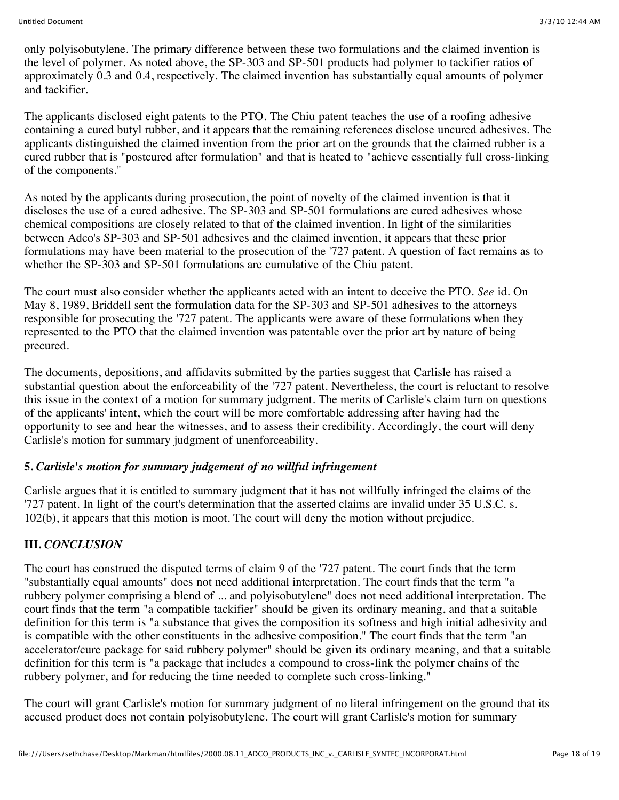only polyisobutylene. The primary difference between these two formulations and the claimed invention is the level of polymer. As noted above, the SP-303 and SP-501 products had polymer to tackifier ratios of approximately 0.3 and 0.4, respectively. The claimed invention has substantially equal amounts of polymer and tackifier.

The applicants disclosed eight patents to the PTO. The Chiu patent teaches the use of a roofing adhesive containing a cured butyl rubber, and it appears that the remaining references disclose uncured adhesives. The applicants distinguished the claimed invention from the prior art on the grounds that the claimed rubber is a cured rubber that is "postcured after formulation" and that is heated to "achieve essentially full cross-linking of the components."

As noted by the applicants during prosecution, the point of novelty of the claimed invention is that it discloses the use of a cured adhesive. The SP-303 and SP-501 formulations are cured adhesives whose chemical compositions are closely related to that of the claimed invention. In light of the similarities between Adco's SP-303 and SP-501 adhesives and the claimed invention, it appears that these prior formulations may have been material to the prosecution of the '727 patent. A question of fact remains as to whether the SP-303 and SP-501 formulations are cumulative of the Chiu patent.

The court must also consider whether the applicants acted with an intent to deceive the PTO. *See* id. On May 8, 1989, Briddell sent the formulation data for the SP-303 and SP-501 adhesives to the attorneys responsible for prosecuting the '727 patent. The applicants were aware of these formulations when they represented to the PTO that the claimed invention was patentable over the prior art by nature of being precured.

The documents, depositions, and affidavits submitted by the parties suggest that Carlisle has raised a substantial question about the enforceability of the '727 patent. Nevertheless, the court is reluctant to resolve this issue in the context of a motion for summary judgment. The merits of Carlisle's claim turn on questions of the applicants' intent, which the court will be more comfortable addressing after having had the opportunity to see and hear the witnesses, and to assess their credibility. Accordingly, the court will deny Carlisle's motion for summary judgment of unenforceability.

## **5.** *Carlisle's motion for summary judgement of no willful infringement*

Carlisle argues that it is entitled to summary judgment that it has not willfully infringed the claims of the '727 patent. In light of the court's determination that the asserted claims are invalid under 35 U.S.C. s. 102(b), it appears that this motion is moot. The court will deny the motion without prejudice.

# **III.** *CONCLUSION*

The court has construed the disputed terms of claim 9 of the '727 patent. The court finds that the term "substantially equal amounts" does not need additional interpretation. The court finds that the term "a rubbery polymer comprising a blend of ... and polyisobutylene" does not need additional interpretation. The court finds that the term "a compatible tackifier" should be given its ordinary meaning, and that a suitable definition for this term is "a substance that gives the composition its softness and high initial adhesivity and is compatible with the other constituents in the adhesive composition." The court finds that the term "an accelerator/cure package for said rubbery polymer" should be given its ordinary meaning, and that a suitable definition for this term is "a package that includes a compound to cross-link the polymer chains of the rubbery polymer, and for reducing the time needed to complete such cross-linking."

The court will grant Carlisle's motion for summary judgment of no literal infringement on the ground that its accused product does not contain polyisobutylene. The court will grant Carlisle's motion for summary